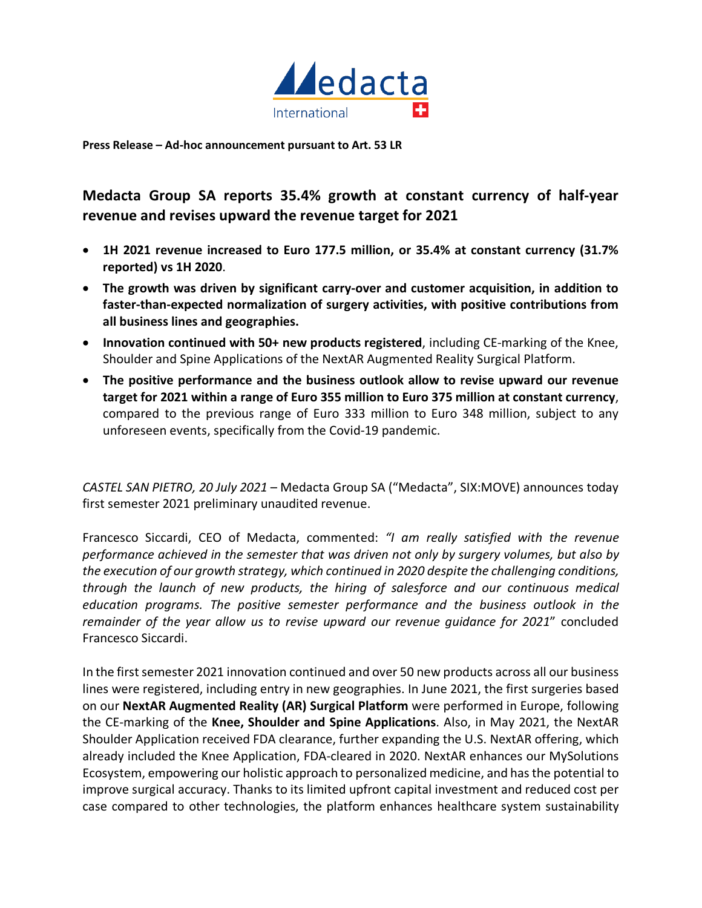

**Press Release – Ad-hoc announcement pursuant to Art. 53 LR** 

**Medacta Group SA reports 35.4% growth at constant currency of half-year revenue and revises upward the revenue target for 2021**

- **1H 2021 revenue increased to Euro 177.5 million, or 35.4% at constant currency (31.7% reported) vs 1H 2020**.
- **The growth was driven by significant carry-over and customer acquisition, in addition to faster-than-expected normalization of surgery activities, with positive contributions from all business lines and geographies.**
- **Innovation continued with 50+ new products registered**, including CE-marking of the Knee, Shoulder and Spine Applications of the NextAR Augmented Reality Surgical Platform.
- **The positive performance and the business outlook allow to revise upward our revenue target for 2021 within a range of Euro 355 million to Euro 375 million at constant currency**, compared to the previous range of Euro 333 million to Euro 348 million, subject to any unforeseen events, specifically from the Covid-19 pandemic.

*CASTEL SAN PIETRO, 20 July 2021* – Medacta Group SA ("Medacta", SIX:MOVE) announces today first semester 2021 preliminary unaudited revenue.

Francesco Siccardi, CEO of Medacta, commented: *"I am really satisfied with the revenue performance achieved in the semester that was driven not only by surgery volumes, but also by the execution of our growth strategy, which continued in 2020 despite the challenging conditions, through the launch of new products, the hiring of salesforce and our continuous medical education programs. The positive semester performance and the business outlook in the remainder of the year allow us to revise upward our revenue guidance for 2021*" concluded Francesco Siccardi.

In the first semester 2021 innovation continued and over 50 new products across all our business lines were registered, including entry in new geographies. In June 2021, the first surgeries based on our **NextAR Augmented Reality (AR) Surgical Platform** were performed in Europe, following the CE-marking of the **Knee, Shoulder and Spine Applications**. Also, in May 2021, the NextAR Shoulder Application received FDA clearance, further expanding the U.S. NextAR offering, which already included the Knee Application, FDA-cleared in 2020. NextAR enhances our MySolutions Ecosystem, empowering our holistic approach to personalized medicine, and has the potential to improve surgical accuracy. Thanks to its limited upfront capital investment and reduced cost per case compared to other technologies, the platform enhances healthcare system sustainability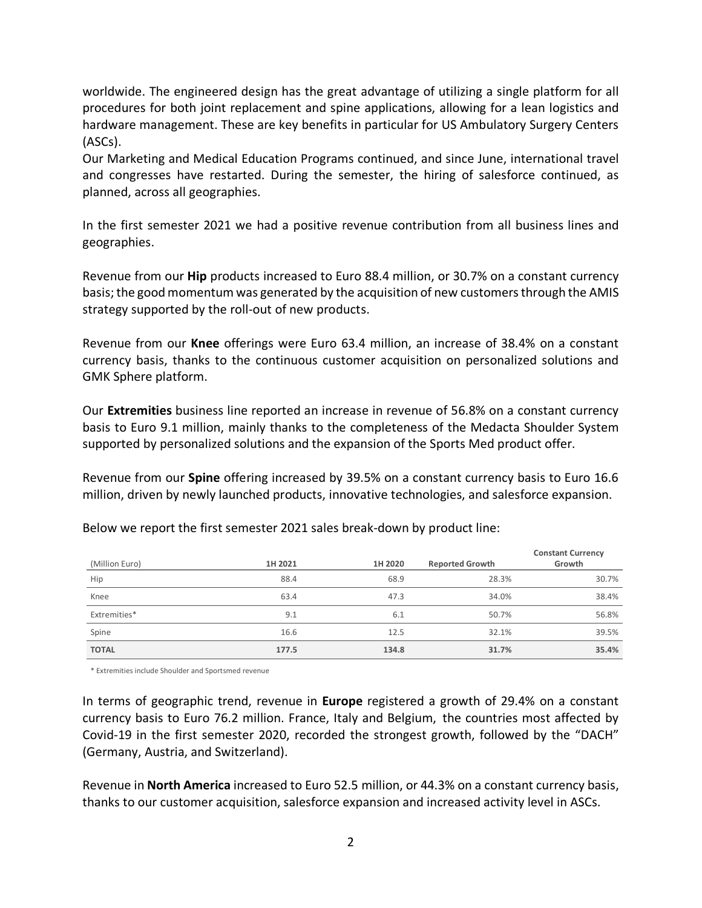worldwide. The engineered design has the great advantage of utilizing a single platform for all procedures for both joint replacement and spine applications, allowing for a lean logistics and hardware management. These are key benefits in particular for US Ambulatory Surgery Centers (ASCs).

Our Marketing and Medical Education Programs continued, and since June, international travel and congresses have restarted. During the semester, the hiring of salesforce continued, as planned, across all geographies.

In the first semester 2021 we had a positive revenue contribution from all business lines and geographies.

Revenue from our **Hip** products increased to Euro 88.4 million, or 30.7% on a constant currency basis; the good momentum was generated by the acquisition of new customers through the AMIS strategy supported by the roll-out of new products.

Revenue from our **Knee** offerings were Euro 63.4 million, an increase of 38.4% on a constant currency basis, thanks to the continuous customer acquisition on personalized solutions and GMK Sphere platform.

Our **Extremities** business line reported an increase in revenue of 56.8% on a constant currency basis to Euro 9.1 million, mainly thanks to the completeness of the Medacta Shoulder System supported by personalized solutions and the expansion of the Sports Med product offer.

Revenue from our **Spine** offering increased by 39.5% on a constant currency basis to Euro 16.6 million, driven by newly launched products, innovative technologies, and salesforce expansion.

| (Million Euro) | 1H 2021 | 1H 2020 | <b>Reported Growth</b> | <b>Constant Currency</b><br>Growth |
|----------------|---------|---------|------------------------|------------------------------------|
| Hip            | 88.4    | 68.9    | 28.3%                  | 30.7%                              |
| Knee           | 63.4    | 47.3    | 34.0%                  | 38.4%                              |
| Extremities*   | 9.1     | 6.1     | 50.7%                  | 56.8%                              |
| Spine          | 16.6    | 12.5    | 32.1%                  | 39.5%                              |
| <b>TOTAL</b>   | 177.5   | 134.8   | 31.7%                  | 35.4%                              |

Below we report the first semester 2021 sales break-down by product line:

\* Extremities include Shoulder and Sportsmed revenue

In terms of geographic trend, revenue in **Europe** registered a growth of 29.4% on a constant currency basis to Euro 76.2 million. France, Italy and Belgium, the countries most affected by Covid-19 in the first semester 2020, recorded the strongest growth, followed by the "DACH" (Germany, Austria, and Switzerland).

Revenue in **North America** increased to Euro 52.5 million, or 44.3% on a constant currency basis, thanks to our customer acquisition, salesforce expansion and increased activity level in ASCs.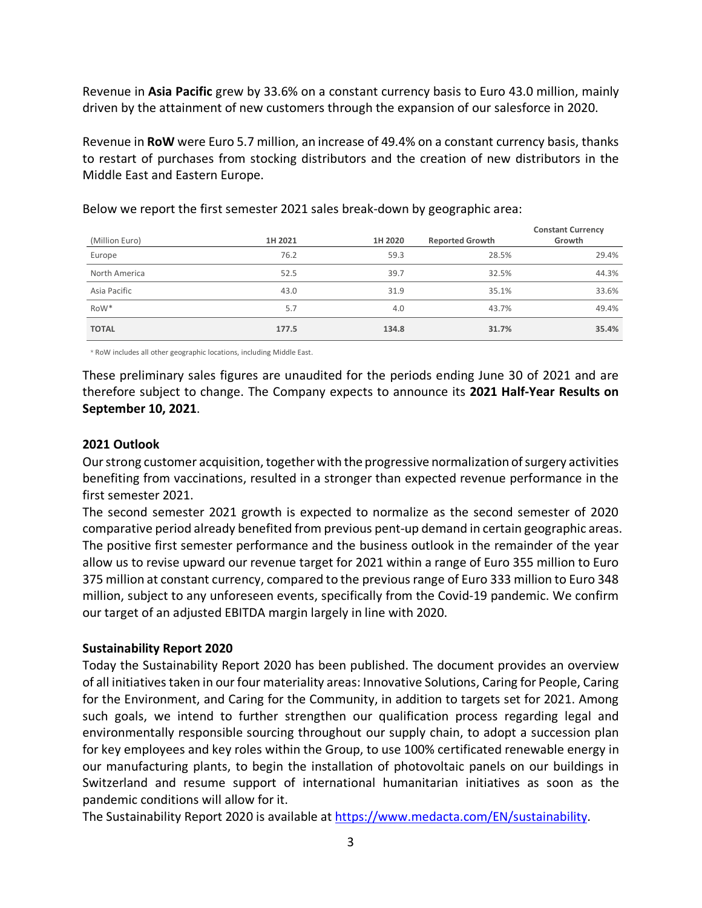Revenue in **Asia Pacific** grew by 33.6% on a constant currency basis to Euro 43.0 million, mainly driven by the attainment of new customers through the expansion of our salesforce in 2020.

Revenue in **RoW** were Euro 5.7 million, an increase of 49.4% on a constant currency basis, thanks to restart of purchases from stocking distributors and the creation of new distributors in the Middle East and Eastern Europe.

| (Million Euro)   | 1H 2021 | 1H 2020 | <b>Reported Growth</b> | <b>Constant Currency</b><br>Growth |
|------------------|---------|---------|------------------------|------------------------------------|
| Europe           | 76.2    | 59.3    | 28.5%                  | 29.4%                              |
| North America    | 52.5    | 39.7    | 32.5%                  | 44.3%                              |
| Asia Pacific     | 43.0    | 31.9    | 35.1%                  | 33.6%                              |
| RoW <sup>*</sup> | 5.7     | 4.0     | 43.7%                  | 49.4%                              |
| <b>TOTAL</b>     | 177.5   | 134.8   | 31.7%                  | 35.4%                              |

Below we report the first semester 2021 sales break-down by geographic area:

\* RoW includes all other geographic locations, including Middle East.

These preliminary sales figures are unaudited for the periods ending June 30 of 2021 and are therefore subject to change. The Company expects to announce its **2021 Half-Year Results on September 10, 2021**.

## **2021 Outlook**

Our strong customer acquisition, together with the progressive normalization of surgery activities benefiting from vaccinations, resulted in a stronger than expected revenue performance in the first semester 2021.

The second semester 2021 growth is expected to normalize as the second semester of 2020 comparative period already benefited from previous pent-up demand in certain geographic areas. The positive first semester performance and the business outlook in the remainder of the year allow us to revise upward our revenue target for 2021 within a range of Euro 355 million to Euro 375 million at constant currency, compared to the previous range of Euro 333 million to Euro 348 million, subject to any unforeseen events, specifically from the Covid-19 pandemic. We confirm our target of an adjusted EBITDA margin largely in line with 2020.

# **Sustainability Report 2020**

Today the Sustainability Report 2020 has been published. The document provides an overview of all initiatives taken in ourfour materiality areas: Innovative Solutions, Caring for People, Caring for the Environment, and Caring for the Community, in addition to targets set for 2021. Among such goals, we intend to further strengthen our qualification process regarding legal and environmentally responsible sourcing throughout our supply chain, to adopt a succession plan for key employees and key roles within the Group, to use 100% certificated renewable energy in our manufacturing plants, to begin the installation of photovoltaic panels on our buildings in Switzerland and resume support of international humanitarian initiatives as soon as the pandemic conditions will allow for it.

The Sustainability Report 2020 is available at [https://www.medacta.com/EN/sustainability.](https://www.medacta.com/EN/sustainability)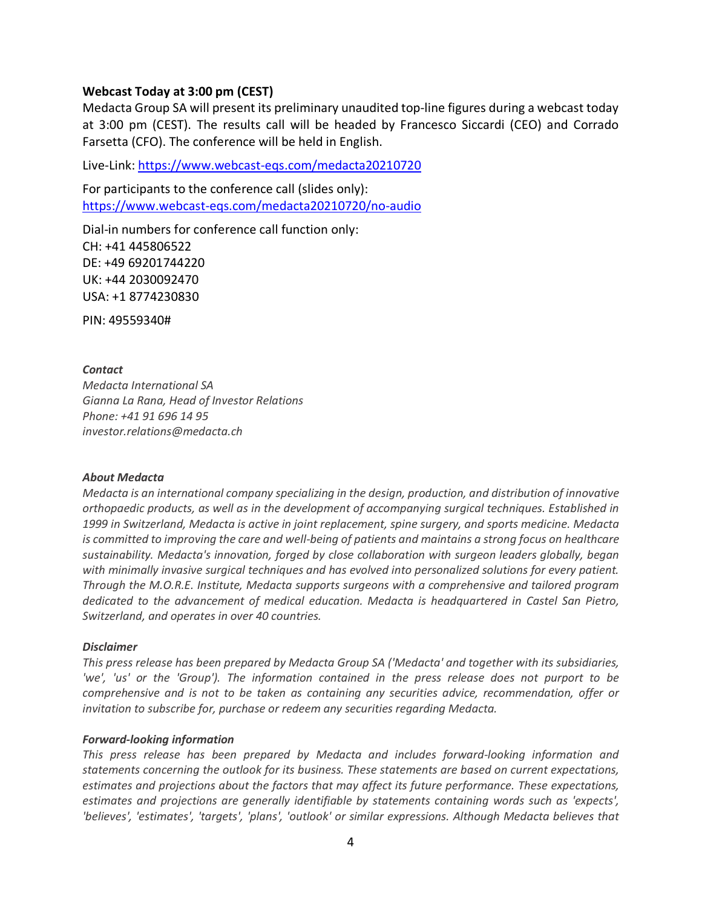## **Webcast Today at 3:00 pm (CEST)**

Medacta Group SA will present its preliminary unaudited top-line figures during a webcast today at 3:00 pm (CEST). The results call will be headed by Francesco Siccardi (CEO) and Corrado Farsetta (CFO). The conference will be held in English.

Live-Link: https://www.webcast-eqs.com/medacta20210720

For participants to the conference call (slides only): <https://www.webcast-eqs.com/medacta20210720/no-audio>

Dial-in numbers for conference call function only: CH: +41 445806522 DE: +49 69201744220 UK: +44 2030092470 USA: +1 8774230830

PIN: 49559340#

### *Contact*

*Medacta International SA Gianna La Rana, Head of Investor Relations Phone: +41 91 696 14 95 investor.relations@medacta.ch*

#### *About Medacta*

*Medacta is an international company specializing in the design, production, and distribution of innovative orthopaedic products, as well as in the development of accompanying surgical techniques. Established in 1999 in Switzerland, Medacta is active in joint replacement, spine surgery, and sports medicine. Medacta is committed to improving the care and well-being of patients and maintains a strong focus on healthcare sustainability. Medacta's innovation, forged by close collaboration with surgeon leaders globally, began with minimally invasive surgical techniques and has evolved into personalized solutions for every patient. Through the M.O.R.E. Institute, Medacta supports surgeons with a comprehensive and tailored program dedicated to the advancement of medical education. Medacta is headquartered in Castel San Pietro, Switzerland, and operates in over 40 countries.*

#### *Disclaimer*

*This press release has been prepared by Medacta Group SA ('Medacta' and together with its subsidiaries, 'we', 'us' or the 'Group'). The information contained in the press release does not purport to be comprehensive and is not to be taken as containing any securities advice, recommendation, offer or invitation to subscribe for, purchase or redeem any securities regarding Medacta.*

#### *Forward-looking information*

*This press release has been prepared by Medacta and includes forward-looking information and statements concerning the outlook for its business. These statements are based on current expectations, estimates and projections about the factors that may affect its future performance. These expectations, estimates and projections are generally identifiable by statements containing words such as 'expects', 'believes', 'estimates', 'targets', 'plans', 'outlook' or similar expressions. Although Medacta believes that*